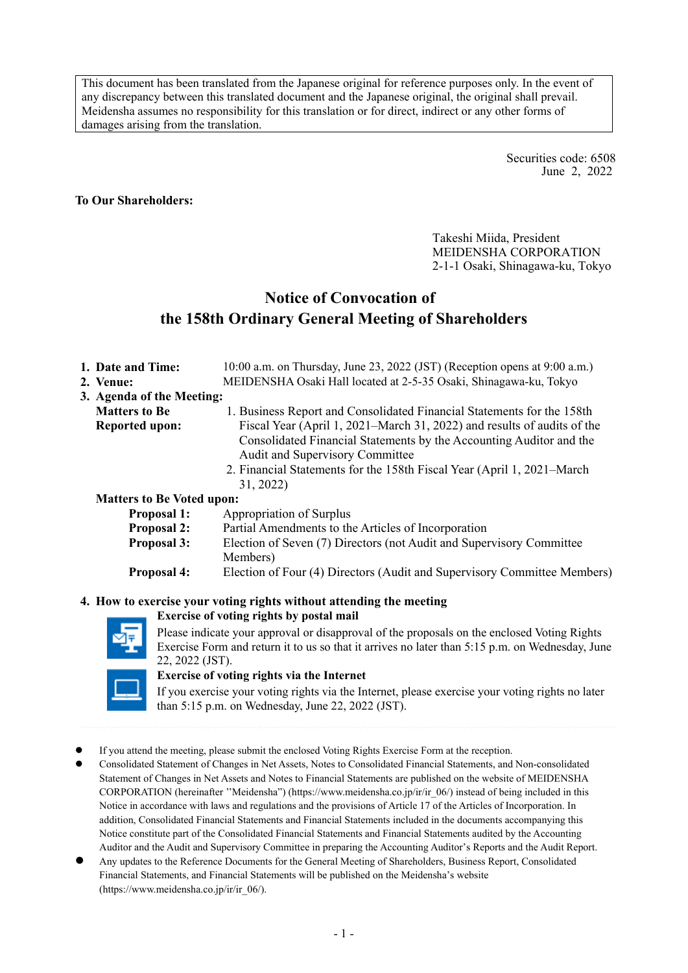This document has been translated from the Japanese original for reference purposes only. In the event of any discrepancy between this translated document and the Japanese original, the original shall prevail. Meidensha assumes no responsibility for this translation or for direct, indirect or any other forms of damages arising from the translation.

> Securities code: 6508 June 2, 2022

#### **To Our Shareholders:**

Takeshi Miida, President MEIDENSHA CORPORATION 2-1-1 Osaki, Shinagawa-ku, Tokyo

# **Notice of Convocation of the 158th Ordinary General Meeting of Shareholders**

| 1. Date and Time:                | 10:00 a.m. on Thursday, June 23, 2022 (JST) (Reception opens at 9:00 a.m.) |
|----------------------------------|----------------------------------------------------------------------------|
| 2. Venue:                        | MEIDENSHA Osaki Hall located at 2-5-35 Osaki, Shinagawa-ku, Tokyo          |
| 3. Agenda of the Meeting:        |                                                                            |
| <b>Matters to Be</b>             | 1. Business Report and Consolidated Financial Statements for the 158th     |
| <b>Reported upon:</b>            | Fiscal Year (April 1, 2021–March 31, 2022) and results of audits of the    |
|                                  | Consolidated Financial Statements by the Accounting Auditor and the        |
|                                  | Audit and Supervisory Committee                                            |
|                                  | 2. Financial Statements for the 158th Fiscal Year (April 1, 2021–March     |
|                                  | 31, 2022)                                                                  |
| <b>Matters to Be Voted upon:</b> |                                                                            |
| <b>Proposal 1:</b>               | Appropriation of Surplus                                                   |
| <b>Proposal 2:</b>               | Partial Amendments to the Articles of Incorporation                        |
| <b>Proposal 3:</b>               | Election of Seven (7) Directors (not Audit and Supervisory Committee       |
|                                  | Members)                                                                   |
| <b>Proposal 4:</b>               | Election of Four (4) Directors (Audit and Supervisory Committee Members)   |
|                                  |                                                                            |
|                                  |                                                                            |

#### **4. How to exercise your voting rights without attending the meeting Exercise of voting rights by postal mail**

Please indicate your approval or disapproval of the proposals on the enclosed Voting Rights Exercise Form and return it to us so that it arrives no later than 5:15 p.m. on Wednesday, June 22, 2022 (JST).

#### **Exercise of voting rights via the Internet**

If you exercise your voting rights via the Internet, please exercise your voting rights no later than 5:15 p.m. on Wednesday, June 22, 2022 (JST).

- If you attend the meeting, please submit the enclosed Voting Rights Exercise Form at the reception.
- Consolidated Statement of Changes in Net Assets, Notes to Consolidated Financial Statements, and Non-consolidated Statement of Changes in Net Assets and Notes to Financial Statements are published on the website of MEIDENSHA CORPORATION (hereinafter ''Meidensha") (https://www.meidensha.co.jp/ir/ir\_06/) instead of being included in this Notice in accordance with laws and regulations and the provisions of Article 17 of the Articles of Incorporation. In addition, Consolidated Financial Statements and Financial Statements included in the documents accompanying this Notice constitute part of the Consolidated Financial Statements and Financial Statements audited by the Accounting Auditor and the Audit and Supervisory Committee in preparing the Accounting Auditor's Reports and the Audit Report.
- Any updates to the Reference Documents for the General Meeting of Shareholders, Business Report, Consolidated Financial Statements, and Financial Statements will be published on the Meidensha's website (https://www.meidensha.co.jp/ir/ir\_06/).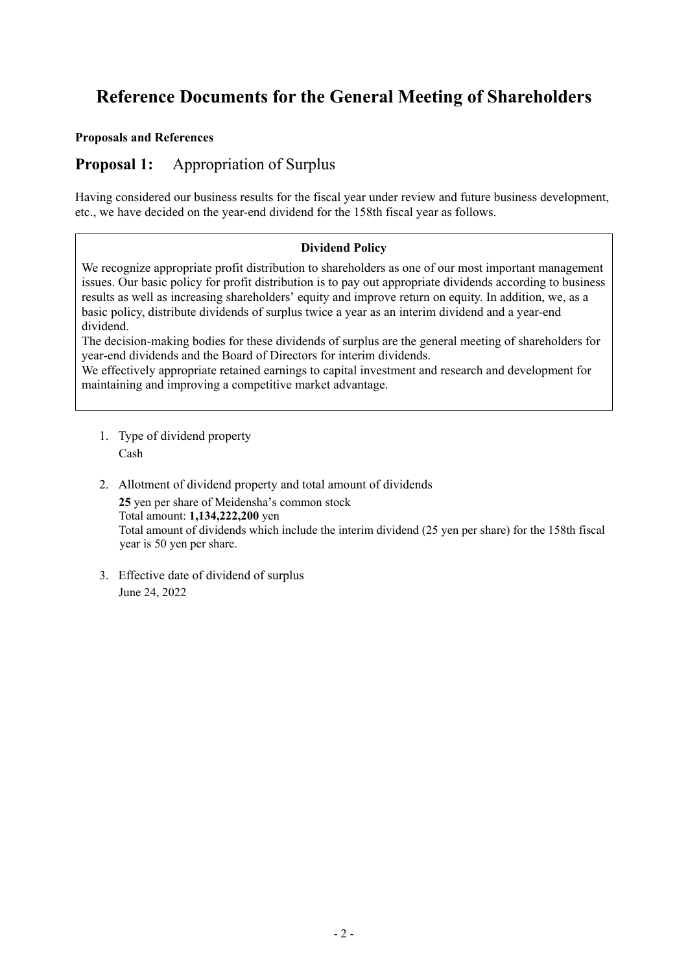# **Reference Documents for the General Meeting of Shareholders**

#### **Proposals and References**

## **Proposal 1:** Appropriation of Surplus

Having considered our business results for the fiscal year under review and future business development, etc., we have decided on the year-end dividend for the 158th fiscal year as follows.

#### **Dividend Policy**

We recognize appropriate profit distribution to shareholders as one of our most important management issues. Our basic policy for profit distribution is to pay out appropriate dividends according to business results as well as increasing shareholders' equity and improve return on equity. In addition, we, as a basic policy, distribute dividends of surplus twice a year as an interim dividend and a year-end dividend.

The decision-making bodies for these dividends of surplus are the general meeting of shareholders for year-end dividends and the Board of Directors for interim dividends.

We effectively appropriate retained earnings to capital investment and research and development for maintaining and improving a competitive market advantage.

- 1. Type of dividend property Cash
- 2. Allotment of dividend property and total amount of dividends **25** yen per share of Meidensha's common stock Total amount: **1,134,222,200** yen Total amount of dividends which include the interim dividend (25 yen per share) for the 158th fiscal year is 50 yen per share.
- 3. Effective date of dividend of surplus June 24, 2022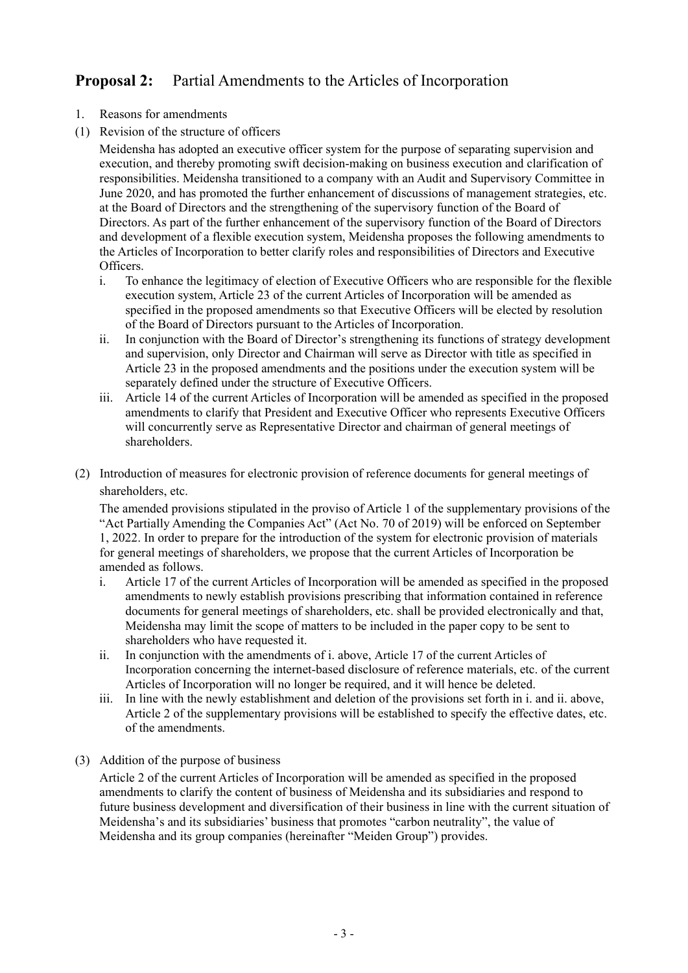# **Proposal 2:** Partial Amendments to the Articles of Incorporation

- 1. Reasons for amendments
- (1) Revision of the structure of officers

Meidensha has adopted an executive officer system for the purpose of separating supervision and execution, and thereby promoting swift decision-making on business execution and clarification of responsibilities. Meidensha transitioned to a company with an Audit and Supervisory Committee in June 2020, and has promoted the further enhancement of discussions of management strategies, etc. at the Board of Directors and the strengthening of the supervisory function of the Board of Directors. As part of the further enhancement of the supervisory function of the Board of Directors and development of a flexible execution system, Meidensha proposes the following amendments to the Articles of Incorporation to better clarify roles and responsibilities of Directors and Executive Officers.

- i. To enhance the legitimacy of election of Executive Officers who are responsible for the flexible execution system, Article 23 of the current Articles of Incorporation will be amended as specified in the proposed amendments so that Executive Officers will be elected by resolution of the Board of Directors pursuant to the Articles of Incorporation.
- ii. In conjunction with the Board of Director's strengthening its functions of strategy development and supervision, only Director and Chairman will serve as Director with title as specified in Article 23 in the proposed amendments and the positions under the execution system will be separately defined under the structure of Executive Officers.
- iii. Article 14 of the current Articles of Incorporation will be amended as specified in the proposed amendments to clarify that President and Executive Officer who represents Executive Officers will concurrently serve as Representative Director and chairman of general meetings of shareholders.
- (2) Introduction of measures for electronic provision of reference documents for general meetings of shareholders, etc.

The amended provisions stipulated in the proviso of Article 1 of the supplementary provisions of the "Act Partially Amending the Companies Act" (Act No. 70 of 2019) will be enforced on September 1, 2022. In order to prepare for the introduction of the system for electronic provision of materials for general meetings of shareholders, we propose that the current Articles of Incorporation be amended as follows.

- i. Article 17 of the current Articles of Incorporation will be amended as specified in the proposed amendments to newly establish provisions prescribing that information contained in reference documents for general meetings of shareholders, etc. shall be provided electronically and that, Meidensha may limit the scope of matters to be included in the paper copy to be sent to shareholders who have requested it.
- ii. In conjunction with the amendments of i. above, Article 17 of the current Articles of Incorporation concerning the internet-based disclosure of reference materials, etc. of the current Articles of Incorporation will no longer be required, and it will hence be deleted.
- iii. In line with the newly establishment and deletion of the provisions set forth in i. and ii. above, Article 2 of the supplementary provisions will be established to specify the effective dates, etc. of the amendments.
- (3) Addition of the purpose of business

Article 2 of the current Articles of Incorporation will be amended as specified in the proposed amendments to clarify the content of business of Meidensha and its subsidiaries and respond to future business development and diversification of their business in line with the current situation of Meidensha's and its subsidiaries' business that promotes "carbon neutrality", the value of Meidensha and its group companies (hereinafter "Meiden Group") provides.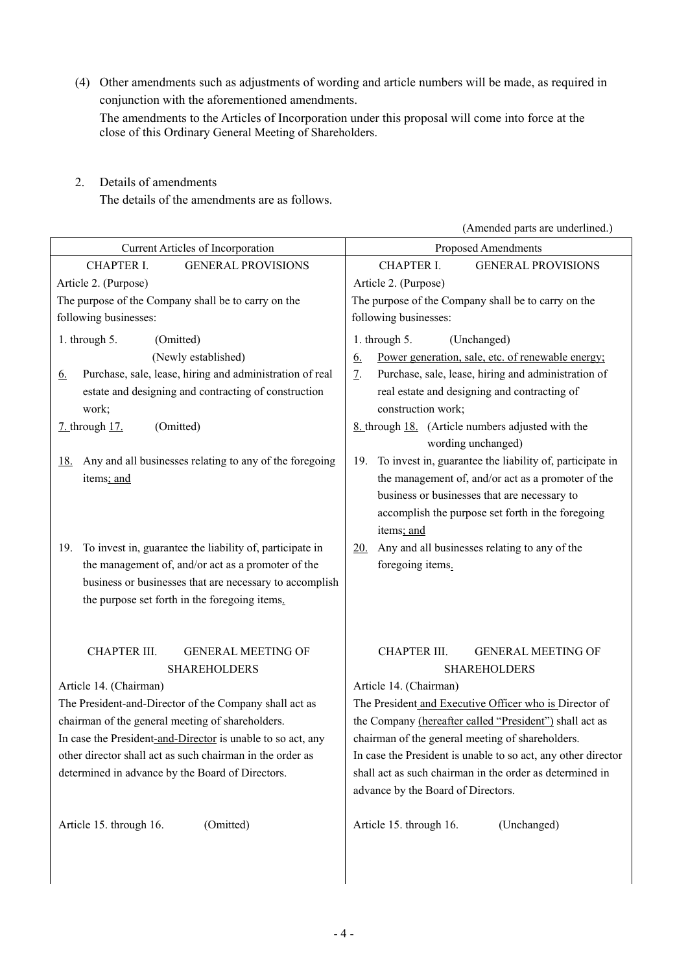(4) Other amendments such as adjustments of wording and article numbers will be made, as required in conjunction with the aforementioned amendments. The amendments to the Articles of Incorporation under this proposal will come into force at the close of this Ordinary General Meeting of Shareholders.

2. Details of amendments

The details of the amendments are as follows.

(Amended parts are underlined.) Current Articles of Incorporation Proposed Amendments CHAPTER I. GENERAL PROVISIONS CHAPTER I. GENERAL PROVISIONS Article 2. (Purpose) Article 2. (Purpose) The purpose of the Company shall be to carry on the following businesses: The purpose of the Company shall be to carry on the following businesses: 1. through 5. (Omitted) 1. through 5. (Unchanged) (Newly established) 6. Power generation, sale, etc. of renewable energy; 6. Purchase, sale, lease, hiring and administration of real estate and designing and contracting of construction work; 7. Purchase, sale, lease, hiring and administration of real estate and designing and contracting of construction work; 7. through 17. (Omitted) 8. through 18. (Article numbers adjusted with the wording unchanged) 18. Any and all businesses relating to any of the foregoing items; and 19. To invest in, guarantee the liability of, participate in the management of, and/or act as a promoter of the business or businesses that are necessary to accomplish the purpose set forth in the foregoing items; and 19. To invest in, guarantee the liability of, participate in the management of, and/or act as a promoter of the business or businesses that are necessary to accomplish the purpose set forth in the foregoing items. 20. Any and all businesses relating to any of the foregoing items. CHAPTER III. GENERAL MEETING OF SHAREHOLDERS CHAPTER III. GENERAL MEETING OF SHAREHOLDERS Article 14. (Chairman) Article 14. (Chairman) The President-and-Director of the Company shall act as chairman of the general meeting of shareholders. In case the President-and-Director is unable to so act, any other director shall act as such chairman in the order as determined in advance by the Board of Directors. The President and Executive Officer who is Director of the Company (hereafter called "President") shall act as chairman of the general meeting of shareholders. In case the President is unable to so act, any other director shall act as such chairman in the order as determined in advance by the Board of Directors. Article 15. through 16. (Omitted) Article 15. through 16. (Unchanged)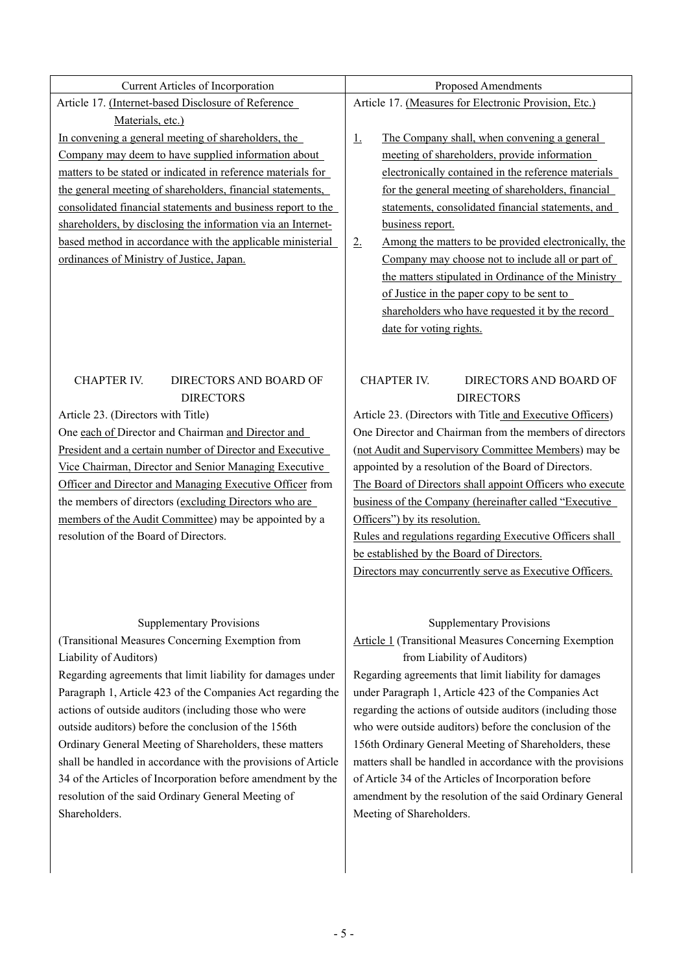| Current Articles of Incorporation                             | Proposed Amendments                                                 |  |  |
|---------------------------------------------------------------|---------------------------------------------------------------------|--|--|
| Article 17. (Internet-based Disclosure of Reference           | Article 17. (Measures for Electronic Provision, Etc.)               |  |  |
| Materials, etc.)                                              |                                                                     |  |  |
| In convening a general meeting of shareholders, the           | The Company shall, when convening a general<br>$\perp$              |  |  |
| Company may deem to have supplied information about           | meeting of shareholders, provide information                        |  |  |
| matters to be stated or indicated in reference materials for  | electronically contained in the reference materials                 |  |  |
| the general meeting of shareholders, financial statements,    | for the general meeting of shareholders, financial                  |  |  |
| consolidated financial statements and business report to the  | statements, consolidated financial statements, and                  |  |  |
| shareholders, by disclosing the information via an Internet-  | business report.                                                    |  |  |
| based method in accordance with the applicable ministerial    | Among the matters to be provided electronically, the<br>$2_{\cdot}$ |  |  |
| ordinances of Ministry of Justice, Japan.                     | Company may choose not to include all or part of                    |  |  |
|                                                               | the matters stipulated in Ordinance of the Ministry                 |  |  |
|                                                               | of Justice in the paper copy to be sent to                          |  |  |
|                                                               | shareholders who have requested it by the record                    |  |  |
|                                                               | date for voting rights.                                             |  |  |
|                                                               |                                                                     |  |  |
|                                                               |                                                                     |  |  |
| <b>CHAPTER IV.</b><br>DIRECTORS AND BOARD OF                  | <b>CHAPTER IV.</b><br>DIRECTORS AND BOARD OF                        |  |  |
| <b>DIRECTORS</b>                                              | <b>DIRECTORS</b>                                                    |  |  |
| Article 23. (Directors with Title)                            | Article 23. (Directors with Title and Executive Officers)           |  |  |
| One each of Director and Chairman and Director and            | One Director and Chairman from the members of directors             |  |  |
| President and a certain number of Director and Executive      | (not Audit and Supervisory Committee Members) may be                |  |  |
| Vice Chairman, Director and Senior Managing Executive         | appointed by a resolution of the Board of Directors.                |  |  |
| Officer and Director and Managing Executive Officer from      | The Board of Directors shall appoint Officers who execute           |  |  |
| the members of directors (excluding Directors who are         | business of the Company (hereinafter called "Executive"             |  |  |
| members of the Audit Committee) may be appointed by a         | Officers") by its resolution.                                       |  |  |
| resolution of the Board of Directors.                         | Rules and regulations regarding Executive Officers shall            |  |  |
|                                                               | be established by the Board of Directors.                           |  |  |
|                                                               | Directors may concurrently serve as Executive Officers.             |  |  |
|                                                               |                                                                     |  |  |
|                                                               |                                                                     |  |  |
| <b>Supplementary Provisions</b>                               | <b>Supplementary Provisions</b>                                     |  |  |
| (Transitional Measures Concerning Exemption from              | <b>Article 1</b> (Transitional Measures Concerning Exemption        |  |  |
| Liability of Auditors)                                        | from Liability of Auditors)                                         |  |  |
| Regarding agreements that limit liability for damages under   | Regarding agreements that limit liability for damages               |  |  |
| Paragraph 1, Article 423 of the Companies Act regarding the   | under Paragraph 1, Article 423 of the Companies Act                 |  |  |
| actions of outside auditors (including those who were         | regarding the actions of outside auditors (including those          |  |  |
| outside auditors) before the conclusion of the 156th          | who were outside auditors) before the conclusion of the             |  |  |
| Ordinary General Meeting of Shareholders, these matters       | 156th Ordinary General Meeting of Shareholders, these               |  |  |
| shall be handled in accordance with the provisions of Article | matters shall be handled in accordance with the provisions          |  |  |
| 34 of the Articles of Incorporation before amendment by the   | of Article 34 of the Articles of Incorporation before               |  |  |
| resolution of the said Ordinary General Meeting of            | amendment by the resolution of the said Ordinary General            |  |  |
| Shareholders.                                                 | Meeting of Shareholders.                                            |  |  |
|                                                               |                                                                     |  |  |
|                                                               |                                                                     |  |  |
|                                                               |                                                                     |  |  |
|                                                               |                                                                     |  |  |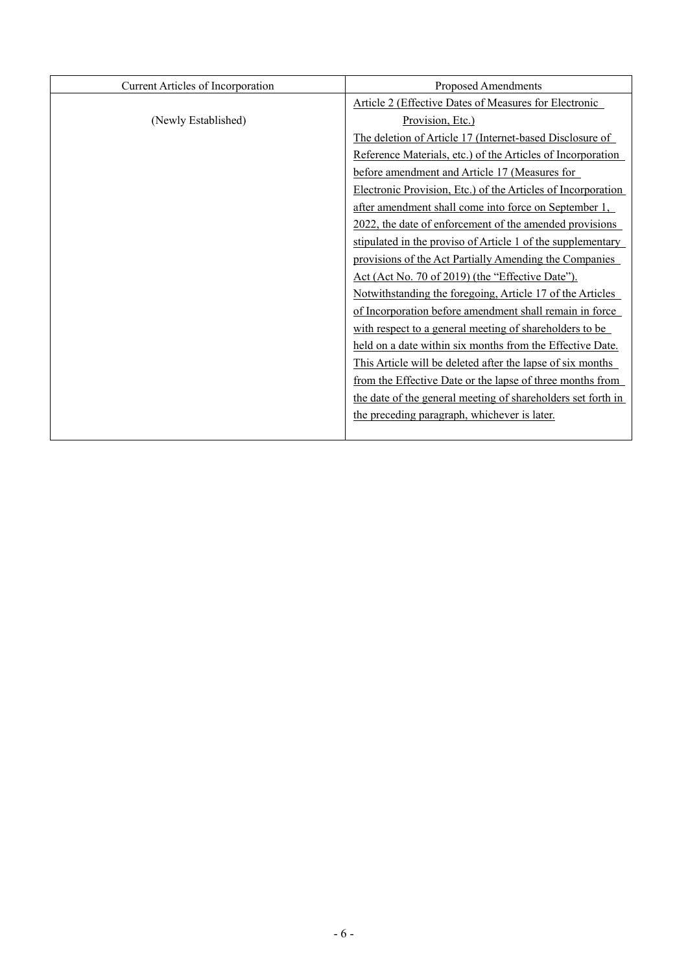| Current Articles of Incorporation | Proposed Amendments                                          |  |
|-----------------------------------|--------------------------------------------------------------|--|
|                                   | <b>Article 2 (Effective Dates of Measures for Electronic</b> |  |
| (Newly Established)               | Provision, Etc.)                                             |  |
|                                   | The deletion of Article 17 (Internet-based Disclosure of     |  |
|                                   | Reference Materials, etc.) of the Articles of Incorporation  |  |
|                                   | before amendment and Article 17 (Measures for                |  |
|                                   | Electronic Provision, Etc.) of the Articles of Incorporation |  |
|                                   | after amendment shall come into force on September 1,        |  |
|                                   | 2022, the date of enforcement of the amended provisions      |  |
|                                   | stipulated in the proviso of Article 1 of the supplementary  |  |
|                                   | provisions of the Act Partially Amending the Companies       |  |
|                                   | Act (Act No. 70 of 2019) (the "Effective Date").             |  |
|                                   | Notwithstanding the foregoing, Article 17 of the Articles    |  |
|                                   | of Incorporation before amendment shall remain in force      |  |
|                                   | with respect to a general meeting of shareholders to be      |  |
|                                   | held on a date within six months from the Effective Date.    |  |
|                                   | This Article will be deleted after the lapse of six months   |  |
|                                   | from the Effective Date or the lapse of three months from    |  |
|                                   | the date of the general meeting of shareholders set forth in |  |
|                                   | the preceding paragraph, whichever is later.                 |  |
|                                   |                                                              |  |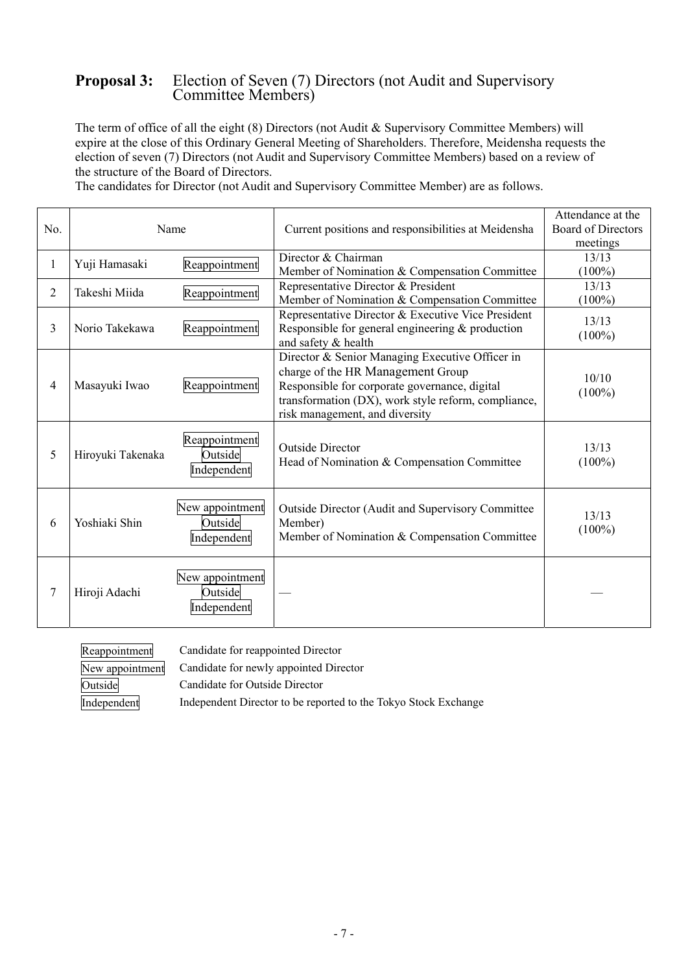### **Proposal 3:** Election of Seven (7) Directors (not Audit and Supervisory Committee Members)

The term of office of all the eight (8) Directors (not Audit & Supervisory Committee Members) will expire at the close of this Ordinary General Meeting of Shareholders. Therefore, Meidensha requests the election of seven (7) Directors (not Audit and Supervisory Committee Members) based on a review of the structure of the Board of Directors.

The candidates for Director (not Audit and Supervisory Committee Member) are as follows.

|                | Name              |                                           |                                                                                                                                                                                                                                | Attendance at the                     |
|----------------|-------------------|-------------------------------------------|--------------------------------------------------------------------------------------------------------------------------------------------------------------------------------------------------------------------------------|---------------------------------------|
| No.            |                   |                                           | Current positions and responsibilities at Meidensha                                                                                                                                                                            | <b>Board of Directors</b><br>meetings |
| 1              | Yuji Hamasaki     | Reappointment                             | Director & Chairman                                                                                                                                                                                                            | 13/13                                 |
|                |                   |                                           | Member of Nomination & Compensation Committee                                                                                                                                                                                  | $(100\%)$                             |
| $\overline{2}$ | Takeshi Miida     | Reappointment                             | Representative Director & President                                                                                                                                                                                            | 13/13                                 |
|                |                   |                                           | Member of Nomination & Compensation Committee                                                                                                                                                                                  | $(100\%)$                             |
| 3              | Norio Takekawa    | Reappointment                             | Representative Director & Executive Vice President<br>Responsible for general engineering $&$ production<br>and safety & health                                                                                                | 13/13<br>$(100\%)$                    |
| $\overline{4}$ | Masayuki Iwao     | Reappointment                             | Director & Senior Managing Executive Officer in<br>charge of the HR Management Group<br>Responsible for corporate governance, digital<br>transformation (DX), work style reform, compliance,<br>risk management, and diversity | 10/10<br>$(100\%)$                    |
| 5              | Hiroyuki Takenaka | Reappointment<br>Outside<br>Independent   | <b>Outside Director</b><br>Head of Nomination & Compensation Committee                                                                                                                                                         | 13/13<br>$(100\%)$                    |
| 6              | Yoshiaki Shin     | New appointment<br>Outside<br>Independent | Outside Director (Audit and Supervisory Committee<br>Member)<br>Member of Nomination & Compensation Committee                                                                                                                  | 13/13<br>$(100\%)$                    |
| 7              | Hiroji Adachi     | New appointment<br>Outside<br>Independent |                                                                                                                                                                                                                                |                                       |

| Reappointment   | Candidate for reappointed Director     |
|-----------------|----------------------------------------|
| New appointment | Candidate for newly appointed Director |
| Outside         | Candidate for Outside Director         |
|                 |                                        |

Independent Independent Director to be reported to the Tokyo Stock Exchange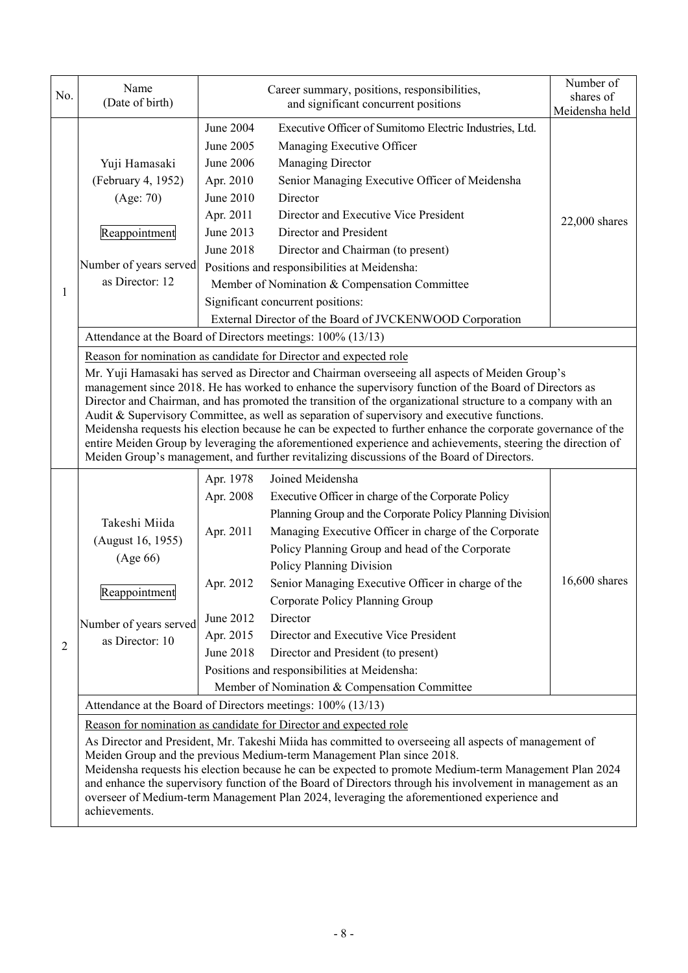| No. | Name<br>(Date of birth)                                                                                                                                                                                                                                                                                                                                                                                                                                                                                                                                                                    | Career summary, positions, responsibilities,<br>and significant concurrent positions                                                                                                                                                                                                                                                                                                                                                                                                                                                                                                                                                                                                                                                                                                                                      | Number of<br>shares of<br>Meidensha held |  |  |  |  |
|-----|--------------------------------------------------------------------------------------------------------------------------------------------------------------------------------------------------------------------------------------------------------------------------------------------------------------------------------------------------------------------------------------------------------------------------------------------------------------------------------------------------------------------------------------------------------------------------------------------|---------------------------------------------------------------------------------------------------------------------------------------------------------------------------------------------------------------------------------------------------------------------------------------------------------------------------------------------------------------------------------------------------------------------------------------------------------------------------------------------------------------------------------------------------------------------------------------------------------------------------------------------------------------------------------------------------------------------------------------------------------------------------------------------------------------------------|------------------------------------------|--|--|--|--|
| 1   | Yuji Hamasaki<br>(February 4, 1952)<br>(Age: 70)<br>Reappointment<br>Number of years served<br>as Director: 12                                                                                                                                                                                                                                                                                                                                                                                                                                                                             | June 2004<br>Executive Officer of Sumitomo Electric Industries, Ltd.<br>June 2005<br>Managing Executive Officer<br>June 2006<br>Managing Director<br>Senior Managing Executive Officer of Meidensha<br>Apr. 2010<br>June 2010<br>Director<br>Director and Executive Vice President<br>Apr. 2011<br>June 2013<br>Director and President<br>June 2018<br>Director and Chairman (to present)<br>Positions and responsibilities at Meidensha:<br>Member of Nomination & Compensation Committee<br>Significant concurrent positions:<br>External Director of the Board of JVCKENWOOD Corporation                                                                                                                                                                                                                               | $22,000$ shares                          |  |  |  |  |
|     |                                                                                                                                                                                                                                                                                                                                                                                                                                                                                                                                                                                            | Attendance at the Board of Directors meetings: 100% (13/13)                                                                                                                                                                                                                                                                                                                                                                                                                                                                                                                                                                                                                                                                                                                                                               |                                          |  |  |  |  |
|     |                                                                                                                                                                                                                                                                                                                                                                                                                                                                                                                                                                                            | Reason for nomination as candidate for Director and expected role<br>Mr. Yuji Hamasaki has served as Director and Chairman overseeing all aspects of Meiden Group's<br>management since 2018. He has worked to enhance the supervisory function of the Board of Directors as<br>Director and Chairman, and has promoted the transition of the organizational structure to a company with an<br>Audit & Supervisory Committee, as well as separation of supervisory and executive functions.<br>Meidensha requests his election because he can be expected to further enhance the corporate governance of the<br>entire Meiden Group by leveraging the aforementioned experience and achievements, steering the direction of<br>Meiden Group's management, and further revitalizing discussions of the Board of Directors. |                                          |  |  |  |  |
| 2   | Takeshi Miida<br>(August 16, 1955)<br>(Age 66)<br>Reappointment<br>Number of years served<br>as Director: 10                                                                                                                                                                                                                                                                                                                                                                                                                                                                               | Joined Meidensha<br>Apr. 1978<br>Apr. 2008<br>Executive Officer in charge of the Corporate Policy<br>Planning Group and the Corporate Policy Planning Division<br>Managing Executive Officer in charge of the Corporate<br>Apr. 2011<br>Policy Planning Group and head of the Corporate<br>Policy Planning Division<br>Senior Managing Executive Officer in charge of the<br>Apr. 2012<br>Corporate Policy Planning Group<br>Director<br>June 2012<br>Apr. 2015<br>Director and Executive Vice President<br>June 2018<br>Director and President (to present)<br>Positions and responsibilities at Meidensha:<br>Member of Nomination & Compensation Committee                                                                                                                                                             | 16,600 shares                            |  |  |  |  |
|     |                                                                                                                                                                                                                                                                                                                                                                                                                                                                                                                                                                                            | Attendance at the Board of Directors meetings: 100% (13/13)                                                                                                                                                                                                                                                                                                                                                                                                                                                                                                                                                                                                                                                                                                                                                               |                                          |  |  |  |  |
|     | Reason for nomination as candidate for Director and expected role<br>As Director and President, Mr. Takeshi Miida has committed to overseeing all aspects of management of<br>Meiden Group and the previous Medium-term Management Plan since 2018.<br>Meidensha requests his election because he can be expected to promote Medium-term Management Plan 2024<br>and enhance the supervisory function of the Board of Directors through his involvement in management as an<br>overseer of Medium-term Management Plan 2024, leveraging the aforementioned experience and<br>achievements. |                                                                                                                                                                                                                                                                                                                                                                                                                                                                                                                                                                                                                                                                                                                                                                                                                           |                                          |  |  |  |  |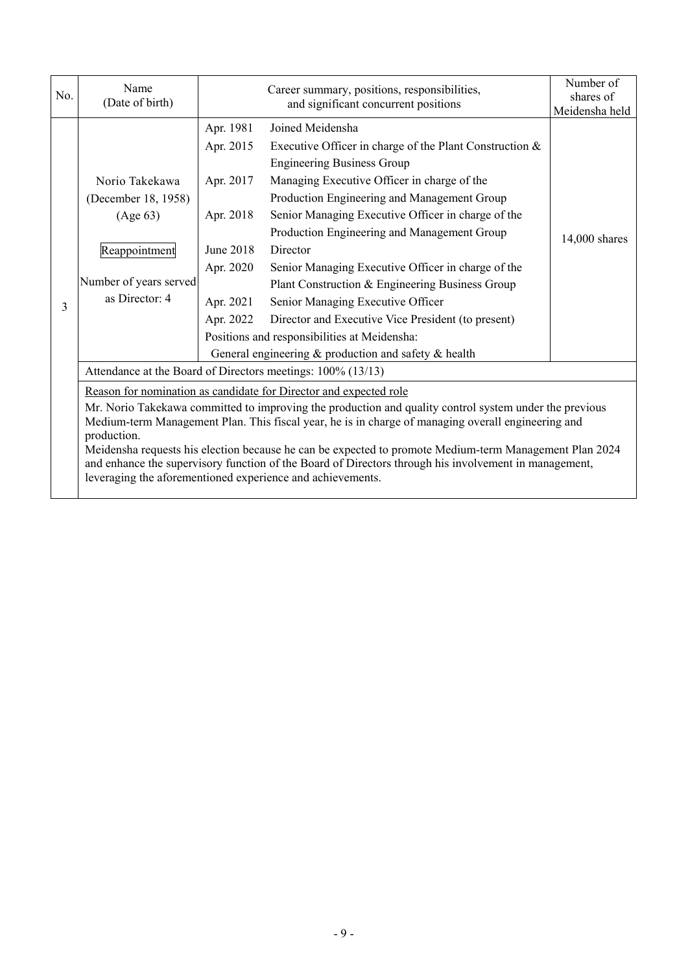| No. | Name<br>(Date of birth)                                                                                                                                                                                                                                                                                                                                                                                                                                                                                                                                                           | Career summary, positions, responsibilities,<br>and significant concurrent positions                                |                                                                                                                                                                                                                                                                                                                                                                                                                                                                                                                                                                                        | Number of<br>shares of<br>Meidensha held |  |  |
|-----|-----------------------------------------------------------------------------------------------------------------------------------------------------------------------------------------------------------------------------------------------------------------------------------------------------------------------------------------------------------------------------------------------------------------------------------------------------------------------------------------------------------------------------------------------------------------------------------|---------------------------------------------------------------------------------------------------------------------|----------------------------------------------------------------------------------------------------------------------------------------------------------------------------------------------------------------------------------------------------------------------------------------------------------------------------------------------------------------------------------------------------------------------------------------------------------------------------------------------------------------------------------------------------------------------------------------|------------------------------------------|--|--|
| 3   | Norio Takekawa<br>(December 18, 1958)<br>(Age 63)<br>Reappointment<br>Number of years served<br>as Director: 4                                                                                                                                                                                                                                                                                                                                                                                                                                                                    | Apr. 1981<br>Apr. 2015<br>Apr. 2017<br>Apr. 2018<br>June 2018<br>Apr. 2020<br>Apr. 2021<br>Apr. 2022                | Joined Meidensha<br>Executive Officer in charge of the Plant Construction $\&$<br><b>Engineering Business Group</b><br>Managing Executive Officer in charge of the<br>Production Engineering and Management Group<br>Senior Managing Executive Officer in charge of the<br>Production Engineering and Management Group<br>Director<br>Senior Managing Executive Officer in charge of the<br>Plant Construction & Engineering Business Group<br>Senior Managing Executive Officer<br>Director and Executive Vice President (to present)<br>Positions and responsibilities at Meidensha: | 14,000 shares                            |  |  |
|     |                                                                                                                                                                                                                                                                                                                                                                                                                                                                                                                                                                                   | General engineering & production and safety & health<br>Attendance at the Board of Directors meetings: 100% (13/13) |                                                                                                                                                                                                                                                                                                                                                                                                                                                                                                                                                                                        |                                          |  |  |
|     | Reason for nomination as candidate for Director and expected role<br>Mr. Norio Takekawa committed to improving the production and quality control system under the previous<br>Medium-term Management Plan. This fiscal year, he is in charge of managing overall engineering and<br>production.<br>Meidensha requests his election because he can be expected to promote Medium-term Management Plan 2024<br>and enhance the supervisory function of the Board of Directors through his involvement in management,<br>leveraging the aforementioned experience and achievements. |                                                                                                                     |                                                                                                                                                                                                                                                                                                                                                                                                                                                                                                                                                                                        |                                          |  |  |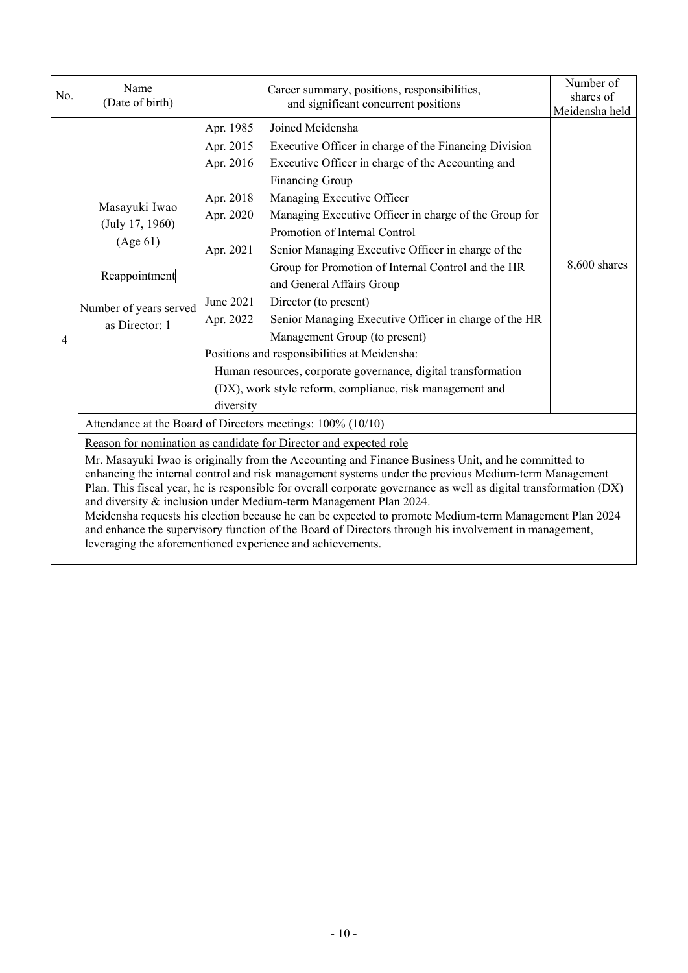| No.            | Name<br>(Date of birth)                                                                                                                                                                                                                                                                                                                                                                                                                                                                                                                                                                                                                                                                                                                                    | Career summary, positions, responsibilities,<br>and significant concurrent positions |                                                                                                                                                                                                                                                                                                                                                                                                                                                                                                                                                                                                                                                                                                                    | Number of<br>shares of<br>Meidensha held |  |
|----------------|------------------------------------------------------------------------------------------------------------------------------------------------------------------------------------------------------------------------------------------------------------------------------------------------------------------------------------------------------------------------------------------------------------------------------------------------------------------------------------------------------------------------------------------------------------------------------------------------------------------------------------------------------------------------------------------------------------------------------------------------------------|--------------------------------------------------------------------------------------|--------------------------------------------------------------------------------------------------------------------------------------------------------------------------------------------------------------------------------------------------------------------------------------------------------------------------------------------------------------------------------------------------------------------------------------------------------------------------------------------------------------------------------------------------------------------------------------------------------------------------------------------------------------------------------------------------------------------|------------------------------------------|--|
| $\overline{A}$ | Apr. 1985<br>Apr. 2015<br>Apr. 2016<br>Apr. 2018<br>Masayuki Iwao<br>Apr. 2020<br>(July 17, 1960)<br>(Age 61)<br>Apr. 2021<br>Reappointment<br>June 2021<br>Number of years served<br>Apr. 2022<br>as Director: 1                                                                                                                                                                                                                                                                                                                                                                                                                                                                                                                                          |                                                                                      | Joined Meidensha<br>Executive Officer in charge of the Financing Division<br>Executive Officer in charge of the Accounting and<br>Financing Group<br>Managing Executive Officer<br>Managing Executive Officer in charge of the Group for<br>Promotion of Internal Control<br>Senior Managing Executive Officer in charge of the<br>Group for Promotion of Internal Control and the HR<br>and General Affairs Group<br>Director (to present)<br>Senior Managing Executive Officer in charge of the HR<br>Management Group (to present)<br>Positions and responsibilities at Meidensha:<br>Human resources, corporate governance, digital transformation<br>(DX), work style reform, compliance, risk management and | 8,600 shares                             |  |
|                | diversity<br>Attendance at the Board of Directors meetings: 100% (10/10)                                                                                                                                                                                                                                                                                                                                                                                                                                                                                                                                                                                                                                                                                   |                                                                                      |                                                                                                                                                                                                                                                                                                                                                                                                                                                                                                                                                                                                                                                                                                                    |                                          |  |
|                | Reason for nomination as candidate for Director and expected role<br>Mr. Masayuki Iwao is originally from the Accounting and Finance Business Unit, and he committed to<br>enhancing the internal control and risk management systems under the previous Medium-term Management<br>Plan. This fiscal year, he is responsible for overall corporate governance as well as digital transformation (DX)<br>and diversity & inclusion under Medium-term Management Plan 2024.<br>Meidensha requests his election because he can be expected to promote Medium-term Management Plan 2024<br>and enhance the supervisory function of the Board of Directors through his involvement in management,<br>leveraging the aforementioned experience and achievements. |                                                                                      |                                                                                                                                                                                                                                                                                                                                                                                                                                                                                                                                                                                                                                                                                                                    |                                          |  |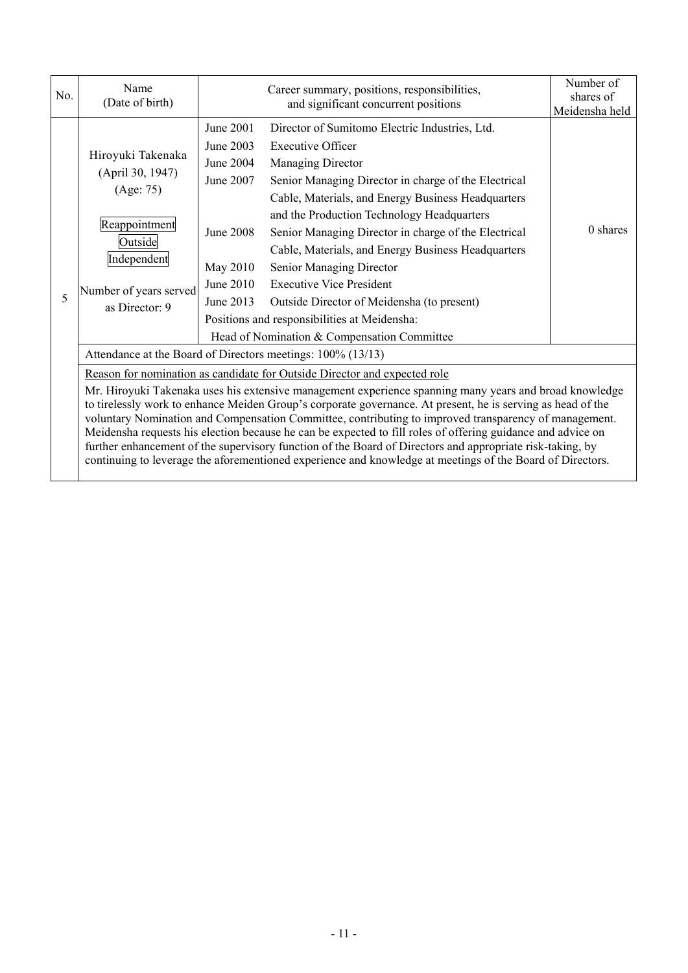| No. | Name<br>(Date of birth)                                                                                                                                                                                                                                                                                                                                                                                                                                                                                                                                                                                                                 |                                                                                                     | Number of<br>shares of<br>Meidensha held                                                                                                                                                                                                                                                                                                                                                                                                                                                                                                                                              |          |
|-----|-----------------------------------------------------------------------------------------------------------------------------------------------------------------------------------------------------------------------------------------------------------------------------------------------------------------------------------------------------------------------------------------------------------------------------------------------------------------------------------------------------------------------------------------------------------------------------------------------------------------------------------------|-----------------------------------------------------------------------------------------------------|---------------------------------------------------------------------------------------------------------------------------------------------------------------------------------------------------------------------------------------------------------------------------------------------------------------------------------------------------------------------------------------------------------------------------------------------------------------------------------------------------------------------------------------------------------------------------------------|----------|
| 5   | Hiroyuki Takenaka<br>(April 30, 1947)<br>(Age: 75)<br>Reappointment<br>Outside<br>Independent<br>Number of years served<br>as Director: 9                                                                                                                                                                                                                                                                                                                                                                                                                                                                                               | June 2001<br>June 2003<br>June 2004<br>June 2007<br>June 2008<br>May 2010<br>June 2010<br>June 2013 | Director of Sumitomo Electric Industries, Ltd.<br><b>Executive Officer</b><br>Managing Director<br>Senior Managing Director in charge of the Electrical<br>Cable, Materials, and Energy Business Headquarters<br>and the Production Technology Headquarters<br>Senior Managing Director in charge of the Electrical<br>Cable, Materials, and Energy Business Headquarters<br>Senior Managing Director<br><b>Executive Vice President</b><br>Outside Director of Meidensha (to present)<br>Positions and responsibilities at Meidensha:<br>Head of Nomination & Compensation Committee | 0 shares |
|     | Attendance at the Board of Directors meetings: 100% (13/13)                                                                                                                                                                                                                                                                                                                                                                                                                                                                                                                                                                             |                                                                                                     |                                                                                                                                                                                                                                                                                                                                                                                                                                                                                                                                                                                       |          |
|     | Reason for nomination as candidate for Outside Director and expected role<br>Mr. Hiroyuki Takenaka uses his extensive management experience spanning many years and broad knowledge<br>to tirelessly work to enhance Meiden Group's corporate governance. At present, he is serving as head of the<br>voluntary Nomination and Compensation Committee, contributing to improved transparency of management.<br>Meidensha requests his election because he can be expected to fill roles of offering guidance and advice on<br>further enhancement of the supervisory function of the Board of Directors and appropriate risk-taking, by |                                                                                                     |                                                                                                                                                                                                                                                                                                                                                                                                                                                                                                                                                                                       |          |

continuing to leverage the aforementioned experience and knowledge at meetings of the Board of Directors.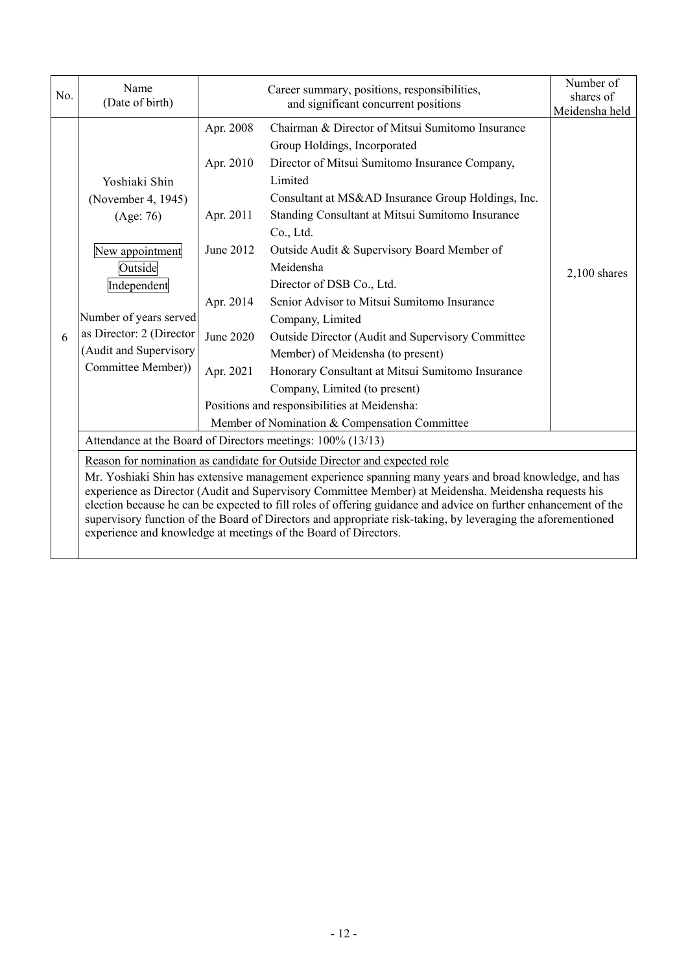| No. | Name<br>(Date of birth)                                                                                                                                                                                                                                                                                                                                                                                                                                                                                                                                                                           | Career summary, positions, responsibilities,<br>and significant concurrent positions    |                                                                                                                                                                                                                                                                                                                                                                                                                                                                                                                                                                                                                                                                 | Number of<br>shares of<br>Meidensha held |  |
|-----|---------------------------------------------------------------------------------------------------------------------------------------------------------------------------------------------------------------------------------------------------------------------------------------------------------------------------------------------------------------------------------------------------------------------------------------------------------------------------------------------------------------------------------------------------------------------------------------------------|-----------------------------------------------------------------------------------------|-----------------------------------------------------------------------------------------------------------------------------------------------------------------------------------------------------------------------------------------------------------------------------------------------------------------------------------------------------------------------------------------------------------------------------------------------------------------------------------------------------------------------------------------------------------------------------------------------------------------------------------------------------------------|------------------------------------------|--|
| 6   | Yoshiaki Shin<br>(November 4, 1945)<br>(Age: 76)<br>New appointment<br>Outside<br>Independent<br>Number of years served<br>as Director: 2 (Director<br>(Audit and Supervisory<br>Committee Member))                                                                                                                                                                                                                                                                                                                                                                                               | Apr. 2008<br>Apr. 2010<br>Apr. 2011<br>June 2012<br>Apr. 2014<br>June 2020<br>Apr. 2021 | Chairman & Director of Mitsui Sumitomo Insurance<br>Group Holdings, Incorporated<br>Director of Mitsui Sumitomo Insurance Company,<br>Limited<br>Consultant at MS&AD Insurance Group Holdings, Inc.<br>Standing Consultant at Mitsui Sumitomo Insurance<br>Co., Ltd.<br>Outside Audit & Supervisory Board Member of<br>Meidensha<br>Director of DSB Co., Ltd.<br>Senior Advisor to Mitsui Sumitomo Insurance<br>Company, Limited<br>Outside Director (Audit and Supervisory Committee<br>Member) of Meidensha (to present)<br>Honorary Consultant at Mitsui Sumitomo Insurance<br>Company, Limited (to present)<br>Positions and responsibilities at Meidensha: | $2,100$ shares                           |  |
|     | Member of Nomination & Compensation Committee<br>Attendance at the Board of Directors meetings: 100% (13/13)                                                                                                                                                                                                                                                                                                                                                                                                                                                                                      |                                                                                         |                                                                                                                                                                                                                                                                                                                                                                                                                                                                                                                                                                                                                                                                 |                                          |  |
|     | Reason for nomination as candidate for Outside Director and expected role<br>Mr. Yoshiaki Shin has extensive management experience spanning many years and broad knowledge, and has<br>experience as Director (Audit and Supervisory Committee Member) at Meidensha. Meidensha requests his<br>election because he can be expected to fill roles of offering guidance and advice on further enhancement of the<br>supervisory function of the Board of Directors and appropriate risk-taking, by leveraging the aforementioned<br>experience and knowledge at meetings of the Board of Directors. |                                                                                         |                                                                                                                                                                                                                                                                                                                                                                                                                                                                                                                                                                                                                                                                 |                                          |  |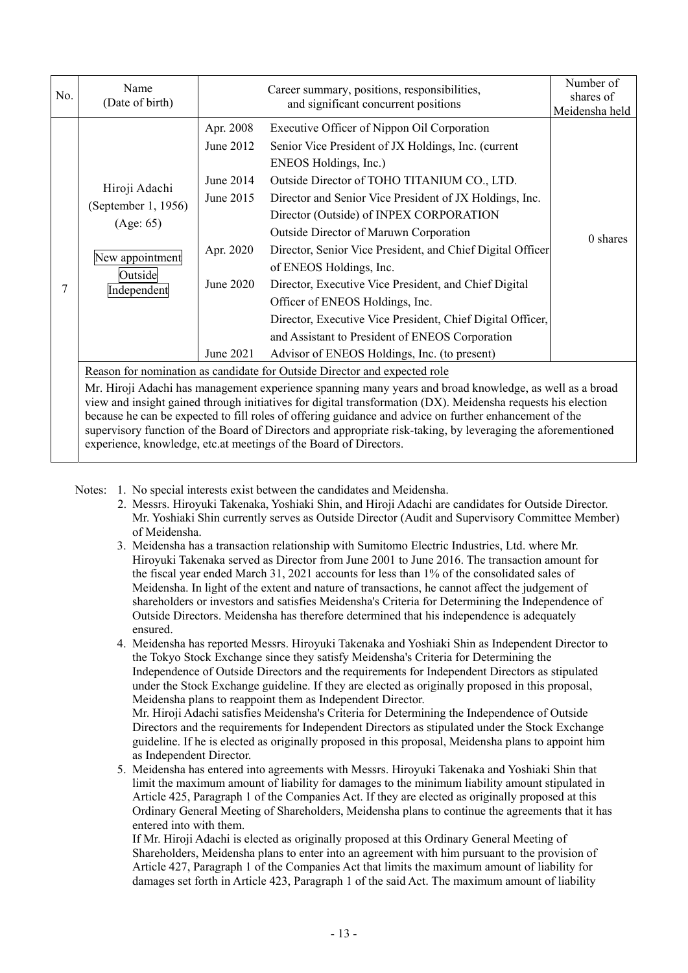| No. | Name<br>(Date of birth)                                                                                                                                                                                                                                                                                                                                                                                                                           | Career summary, positions, responsibilities,<br>and significant concurrent positions    |                                                                                                                                                                                                                                                                                                                                                                                                                                                                                                                                                                                                                                                                                  | Number of<br>shares of<br>Meidensha held |
|-----|---------------------------------------------------------------------------------------------------------------------------------------------------------------------------------------------------------------------------------------------------------------------------------------------------------------------------------------------------------------------------------------------------------------------------------------------------|-----------------------------------------------------------------------------------------|----------------------------------------------------------------------------------------------------------------------------------------------------------------------------------------------------------------------------------------------------------------------------------------------------------------------------------------------------------------------------------------------------------------------------------------------------------------------------------------------------------------------------------------------------------------------------------------------------------------------------------------------------------------------------------|------------------------------------------|
| 7   | Hiroji Adachi<br>(September 1, 1956)<br>(Age: 65)<br>New appointment<br>Outside<br>Independent                                                                                                                                                                                                                                                                                                                                                    | Apr. 2008<br>June 2012<br>June 2014<br>June 2015<br>Apr. 2020<br>June 2020<br>June 2021 | Executive Officer of Nippon Oil Corporation<br>Senior Vice President of JX Holdings, Inc. (current<br>ENEOS Holdings, Inc.)<br>Outside Director of TOHO TITANIUM CO., LTD.<br>Director and Senior Vice President of JX Holdings, Inc.<br>Director (Outside) of INPEX CORPORATION<br>Outside Director of Maruwn Corporation<br>Director, Senior Vice President, and Chief Digital Officer<br>of ENEOS Holdings, Inc.<br>Director, Executive Vice President, and Chief Digital<br>Officer of ENEOS Holdings, Inc.<br>Director, Executive Vice President, Chief Digital Officer,<br>and Assistant to President of ENEOS Corporation<br>Advisor of ENEOS Holdings, Inc. (to present) | 0 shares                                 |
|     | Reason for nomination as candidate for Outside Director and expected role                                                                                                                                                                                                                                                                                                                                                                         |                                                                                         |                                                                                                                                                                                                                                                                                                                                                                                                                                                                                                                                                                                                                                                                                  |                                          |
|     | Mr. Hiroji Adachi has management experience spanning many years and broad knowledge, as well as a broad<br>view and insight gained through initiatives for digital transformation (DX). Meidensha requests his election<br>because he can be expected to fill roles of offering guidance and advice on further enhancement of the<br>supervisory function of the Board of Directors and appropriate risk-taking, by leveraging the aforementioned |                                                                                         |                                                                                                                                                                                                                                                                                                                                                                                                                                                                                                                                                                                                                                                                                  |                                          |

Notes: 1. No special interests exist between the candidates and Meidensha.

experience, knowledge, etc.at meetings of the Board of Directors.

- 2. Messrs. Hiroyuki Takenaka, Yoshiaki Shin, and Hiroji Adachi are candidates for Outside Director. Mr. Yoshiaki Shin currently serves as Outside Director (Audit and Supervisory Committee Member) of Meidensha.
- 3. Meidensha has a transaction relationship with Sumitomo Electric Industries, Ltd. where Mr. Hiroyuki Takenaka served as Director from June 2001 to June 2016. The transaction amount for the fiscal year ended March 31, 2021 accounts for less than 1% of the consolidated sales of Meidensha. In light of the extent and nature of transactions, he cannot affect the judgement of shareholders or investors and satisfies Meidensha's Criteria for Determining the Independence of Outside Directors. Meidensha has therefore determined that his independence is adequately ensured.
- 4. Meidensha has reported Messrs. Hiroyuki Takenaka and Yoshiaki Shin as Independent Director to the Tokyo Stock Exchange since they satisfy Meidensha's Criteria for Determining the Independence of Outside Directors and the requirements for Independent Directors as stipulated under the Stock Exchange guideline. If they are elected as originally proposed in this proposal, Meidensha plans to reappoint them as Independent Director. Mr. Hiroji Adachi satisfies Meidensha's Criteria for Determining the Independence of Outside Directors and the requirements for Independent Directors as stipulated under the Stock Exchange guideline. If he is elected as originally proposed in this proposal, Meidensha plans to appoint him
- as Independent Director. 5. Meidensha has entered into agreements with Messrs. Hiroyuki Takenaka and Yoshiaki Shin that limit the maximum amount of liability for damages to the minimum liability amount stipulated in Article 425, Paragraph 1 of the Companies Act. If they are elected as originally proposed at this Ordinary General Meeting of Shareholders, Meidensha plans to continue the agreements that it has

entered into with them. If Mr. Hiroji Adachi is elected as originally proposed at this Ordinary General Meeting of Shareholders, Meidensha plans to enter into an agreement with him pursuant to the provision of Article 427, Paragraph 1 of the Companies Act that limits the maximum amount of liability for damages set forth in Article 423, Paragraph 1 of the said Act. The maximum amount of liability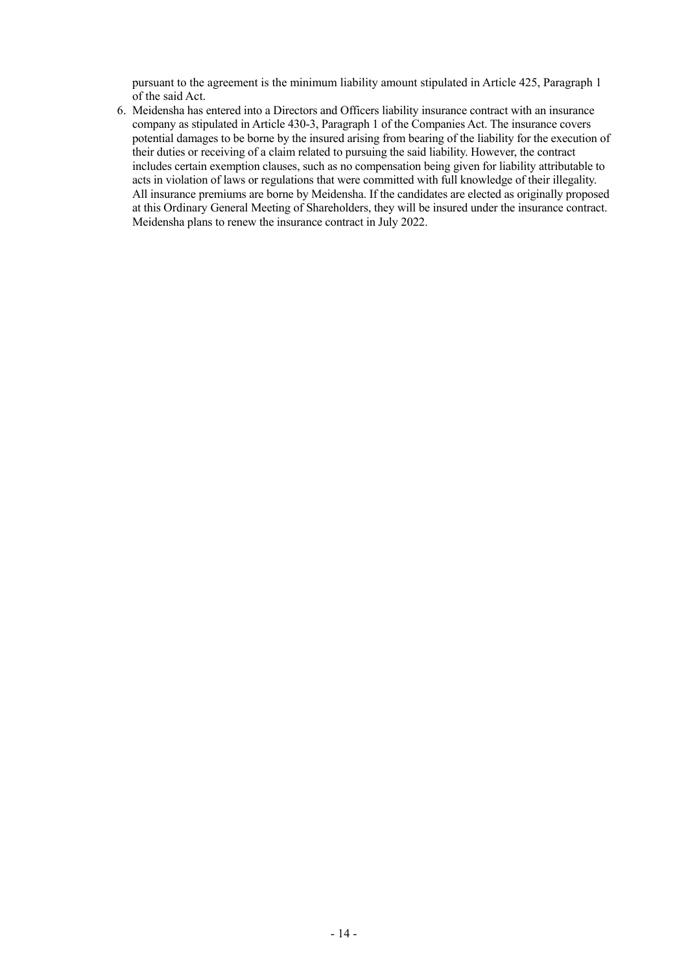pursuant to the agreement is the minimum liability amount stipulated in Article 425, Paragraph 1 of the said Act.

 6. Meidensha has entered into a Directors and Officers liability insurance contract with an insurance company as stipulated in Article 430-3, Paragraph 1 of the Companies Act. The insurance covers potential damages to be borne by the insured arising from bearing of the liability for the execution of their duties or receiving of a claim related to pursuing the said liability. However, the contract includes certain exemption clauses, such as no compensation being given for liability attributable to acts in violation of laws or regulations that were committed with full knowledge of their illegality. All insurance premiums are borne by Meidensha. If the candidates are elected as originally proposed at this Ordinary General Meeting of Shareholders, they will be insured under the insurance contract. Meidensha plans to renew the insurance contract in July 2022.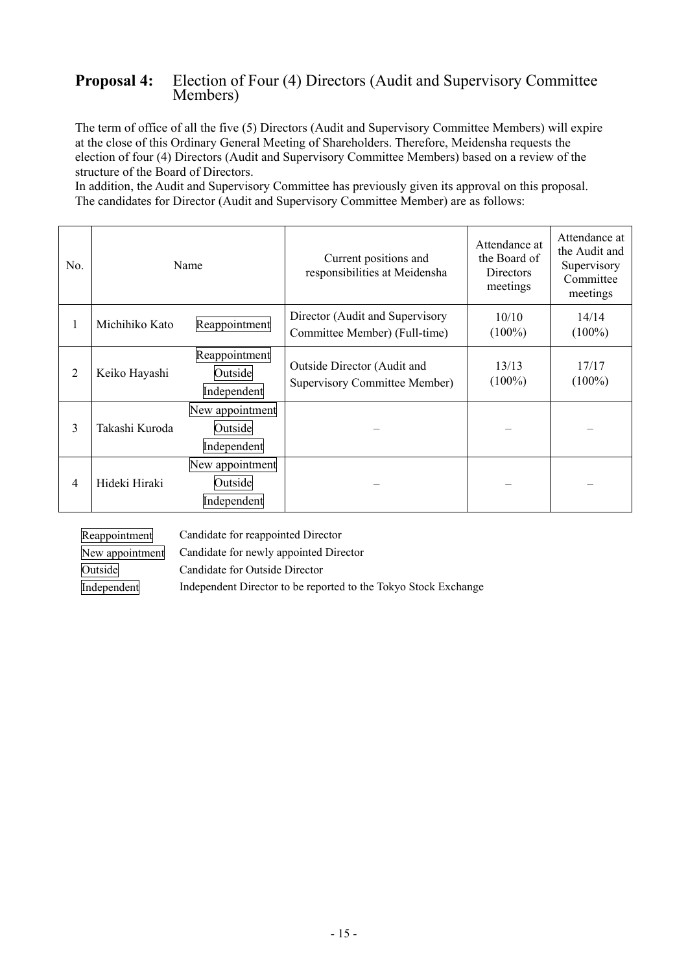# **Proposal 4:** Election of Four (4) Directors (Audit and Supervisory Committee Members)

The term of office of all the five (5) Directors (Audit and Supervisory Committee Members) will expire at the close of this Ordinary General Meeting of Shareholders. Therefore, Meidensha requests the election of four (4) Directors (Audit and Supervisory Committee Members) based on a review of the structure of the Board of Directors.

In addition, the Audit and Supervisory Committee has previously given its approval on this proposal. The candidates for Director (Audit and Supervisory Committee Member) are as follows:

| No. | Name                            |                                           | Current positions and<br>responsibilities at Meidensha              | Attendance at<br>the Board of<br><b>Directors</b><br>meetings | Attendance at<br>the Audit and<br>Supervisory<br>Committee<br>meetings |
|-----|---------------------------------|-------------------------------------------|---------------------------------------------------------------------|---------------------------------------------------------------|------------------------------------------------------------------------|
| 1   | Reappointment<br>Michihiko Kato |                                           | Director (Audit and Supervisory<br>Committee Member) (Full-time)    | 10/10<br>$(100\%)$                                            | 14/14<br>$(100\%)$                                                     |
| 2   | Keiko Hayashi                   | Reappointment<br>Outside<br>Independent   | Outside Director (Audit and<br><b>Supervisory Committee Member)</b> | 13/13<br>$(100\%)$                                            | 17/17<br>$(100\%)$                                                     |
| 3   | Takashi Kuroda                  | New appointment<br>Outside<br>Independent |                                                                     |                                                               |                                                                        |
| 4   | Hideki Hiraki                   | New appointment<br>Outside<br>Independent |                                                                     |                                                               |                                                                        |

Reappointment Candidate for reappointed Director

New appointment Candidate for newly appointed Director

Outside Candidate for Outside Director

Independent Independent Director to be reported to the Tokyo Stock Exchange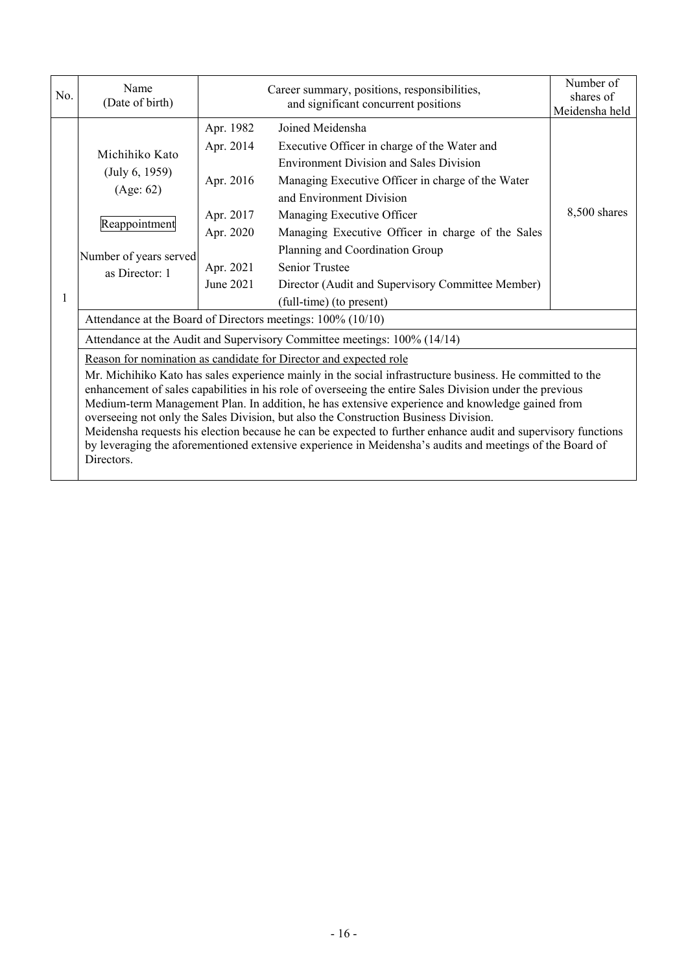| No. | Name<br>(Date of birth)                                                                                                                                                                                                                                                                                                                                                                                                                                                                                                                                                                                                                                                                                                          |                                                                                         | Number of<br>shares of<br>Meidensha held |  |  |  |  |
|-----|----------------------------------------------------------------------------------------------------------------------------------------------------------------------------------------------------------------------------------------------------------------------------------------------------------------------------------------------------------------------------------------------------------------------------------------------------------------------------------------------------------------------------------------------------------------------------------------------------------------------------------------------------------------------------------------------------------------------------------|-----------------------------------------------------------------------------------------|------------------------------------------|--|--|--|--|
| 1   | Michihiko Kato<br>(July 6, 1959)<br>(Age: 62)<br>Reappointment<br>Number of years served<br>as Director: 1                                                                                                                                                                                                                                                                                                                                                                                                                                                                                                                                                                                                                       | Apr. 1982<br>Apr. 2014<br>Apr. 2016<br>Apr. 2017<br>Apr. 2020<br>Apr. 2021<br>June 2021 | 8,500 shares                             |  |  |  |  |
|     | (full-time) (to present)<br>Attendance at the Board of Directors meetings: 100% (10/10)                                                                                                                                                                                                                                                                                                                                                                                                                                                                                                                                                                                                                                          |                                                                                         |                                          |  |  |  |  |
|     | Attendance at the Audit and Supervisory Committee meetings: 100% (14/14)                                                                                                                                                                                                                                                                                                                                                                                                                                                                                                                                                                                                                                                         |                                                                                         |                                          |  |  |  |  |
|     | Reason for nomination as candidate for Director and expected role<br>Mr. Michihiko Kato has sales experience mainly in the social infrastructure business. He committed to the<br>enhancement of sales capabilities in his role of overseeing the entire Sales Division under the previous<br>Medium-term Management Plan. In addition, he has extensive experience and knowledge gained from<br>overseeing not only the Sales Division, but also the Construction Business Division.<br>Meidensha requests his election because he can be expected to further enhance audit and supervisory functions<br>by leveraging the aforementioned extensive experience in Meidensha's audits and meetings of the Board of<br>Directors. |                                                                                         |                                          |  |  |  |  |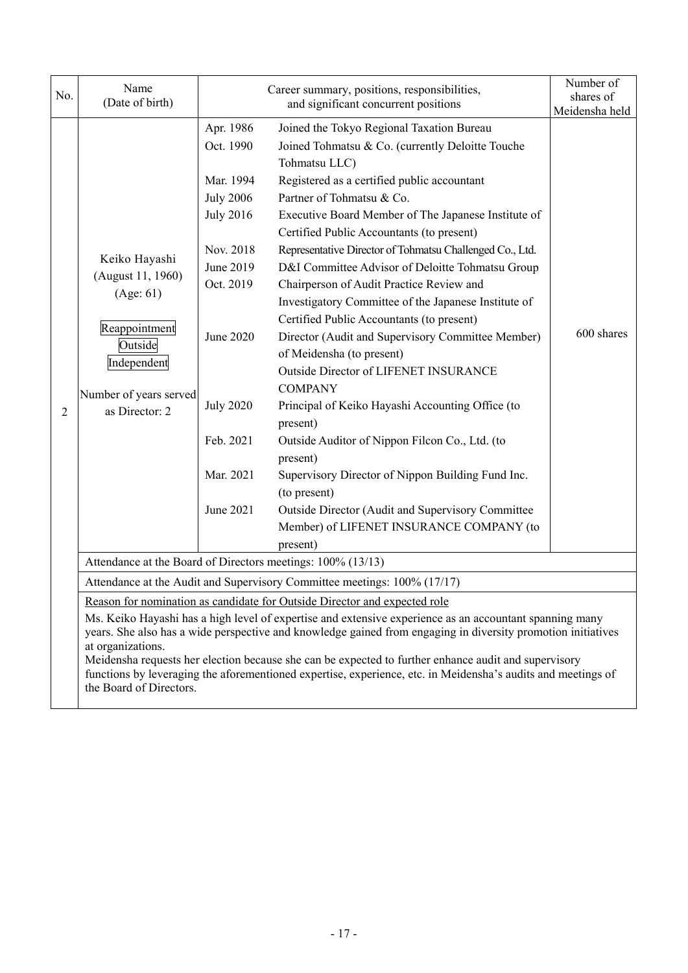| No.            | Name<br>(Date of birth)                                                                                                                                                                                                                                                                                                                                                                                                                                              |                                                                                                                                                                                            | Number of<br>shares of                                                                                                                                                                                                                                                                                                                                                                                                                                                                                                                                                                                                                                                                                                                                                                                                                                                                                                                                                                                                       |            |  |  |  |
|----------------|----------------------------------------------------------------------------------------------------------------------------------------------------------------------------------------------------------------------------------------------------------------------------------------------------------------------------------------------------------------------------------------------------------------------------------------------------------------------|--------------------------------------------------------------------------------------------------------------------------------------------------------------------------------------------|------------------------------------------------------------------------------------------------------------------------------------------------------------------------------------------------------------------------------------------------------------------------------------------------------------------------------------------------------------------------------------------------------------------------------------------------------------------------------------------------------------------------------------------------------------------------------------------------------------------------------------------------------------------------------------------------------------------------------------------------------------------------------------------------------------------------------------------------------------------------------------------------------------------------------------------------------------------------------------------------------------------------------|------------|--|--|--|
|                |                                                                                                                                                                                                                                                                                                                                                                                                                                                                      |                                                                                                                                                                                            | Meidensha held                                                                                                                                                                                                                                                                                                                                                                                                                                                                                                                                                                                                                                                                                                                                                                                                                                                                                                                                                                                                               |            |  |  |  |
| $\overline{2}$ | Keiko Hayashi<br>(August 11, 1960)<br>(Age: 61)<br>Reappointment<br>Outside<br>Independent<br>Number of years served<br>as Director: 2                                                                                                                                                                                                                                                                                                                               | Apr. 1986<br>Oct. 1990<br>Mar. 1994<br><b>July 2006</b><br><b>July 2016</b><br>Nov. 2018<br>June 2019<br>Oct. 2019<br>June 2020<br><b>July 2020</b><br>Feb. 2021<br>Mar. 2021<br>June 2021 | Joined the Tokyo Regional Taxation Bureau<br>Joined Tohmatsu & Co. (currently Deloitte Touche<br>Tohmatsu LLC)<br>Registered as a certified public accountant<br>Partner of Tohmatsu & Co.<br>Executive Board Member of The Japanese Institute of<br>Certified Public Accountants (to present)<br>Representative Director of Tohmatsu Challenged Co., Ltd.<br>D&I Committee Advisor of Deloitte Tohmatsu Group<br>Chairperson of Audit Practice Review and<br>Investigatory Committee of the Japanese Institute of<br>Certified Public Accountants (to present)<br>Director (Audit and Supervisory Committee Member)<br>of Meidensha (to present)<br>Outside Director of LIFENET INSURANCE<br><b>COMPANY</b><br>Principal of Keiko Hayashi Accounting Office (to<br>present)<br>Outside Auditor of Nippon Filcon Co., Ltd. (to<br>present)<br>Supervisory Director of Nippon Building Fund Inc.<br>(to present)<br>Outside Director (Audit and Supervisory Committee<br>Member) of LIFENET INSURANCE COMPANY (to<br>present) | 600 shares |  |  |  |
|                | Attendance at the Board of Directors meetings: 100% (13/13)                                                                                                                                                                                                                                                                                                                                                                                                          |                                                                                                                                                                                            |                                                                                                                                                                                                                                                                                                                                                                                                                                                                                                                                                                                                                                                                                                                                                                                                                                                                                                                                                                                                                              |            |  |  |  |
|                | Attendance at the Audit and Supervisory Committee meetings: 100% (17/17)                                                                                                                                                                                                                                                                                                                                                                                             |                                                                                                                                                                                            |                                                                                                                                                                                                                                                                                                                                                                                                                                                                                                                                                                                                                                                                                                                                                                                                                                                                                                                                                                                                                              |            |  |  |  |
|                | Reason for nomination as candidate for Outside Director and expected role                                                                                                                                                                                                                                                                                                                                                                                            |                                                                                                                                                                                            |                                                                                                                                                                                                                                                                                                                                                                                                                                                                                                                                                                                                                                                                                                                                                                                                                                                                                                                                                                                                                              |            |  |  |  |
|                | Ms. Keiko Hayashi has a high level of expertise and extensive experience as an accountant spanning many<br>years. She also has a wide perspective and knowledge gained from engaging in diversity promotion initiatives<br>at organizations.<br>Meidensha requests her election because she can be expected to further enhance audit and supervisory<br>functions by leveraging the aforementioned expertise, experience, etc. in Meidensha's audits and meetings of |                                                                                                                                                                                            |                                                                                                                                                                                                                                                                                                                                                                                                                                                                                                                                                                                                                                                                                                                                                                                                                                                                                                                                                                                                                              |            |  |  |  |
|                | the Board of Directors.                                                                                                                                                                                                                                                                                                                                                                                                                                              |                                                                                                                                                                                            |                                                                                                                                                                                                                                                                                                                                                                                                                                                                                                                                                                                                                                                                                                                                                                                                                                                                                                                                                                                                                              |            |  |  |  |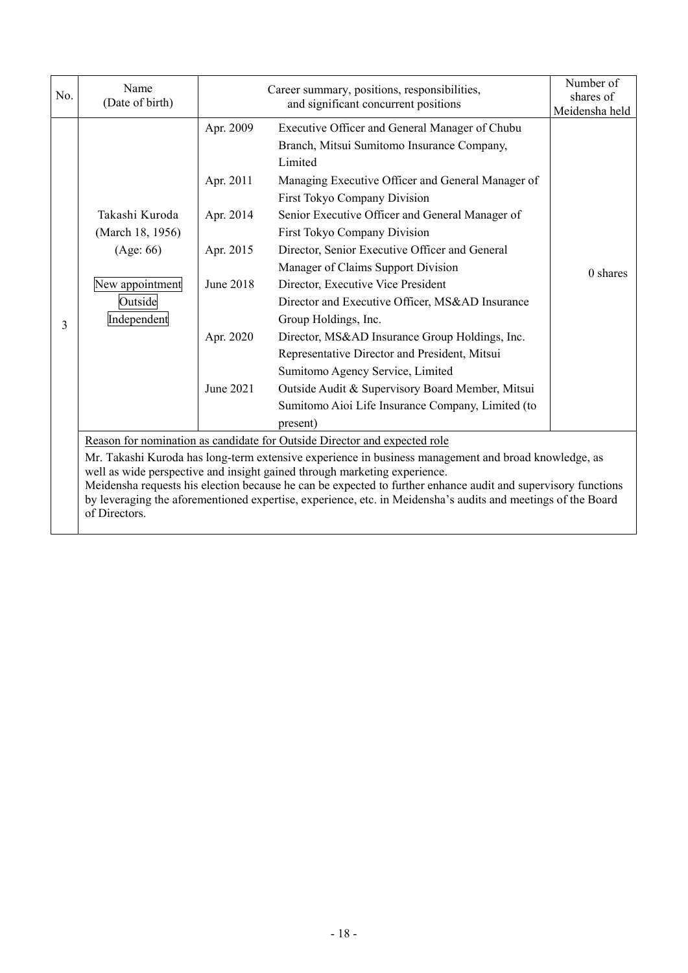| No. | Name<br>(Date of birth)                                                                                                                                                                                                       |           | Number of<br>shares of<br>Meidensha held          |          |  |  |  |  |
|-----|-------------------------------------------------------------------------------------------------------------------------------------------------------------------------------------------------------------------------------|-----------|---------------------------------------------------|----------|--|--|--|--|
|     |                                                                                                                                                                                                                               | Apr. 2009 | Executive Officer and General Manager of Chubu    |          |  |  |  |  |
|     |                                                                                                                                                                                                                               |           | Branch, Mitsui Sumitomo Insurance Company,        |          |  |  |  |  |
|     |                                                                                                                                                                                                                               |           | Limited                                           |          |  |  |  |  |
|     |                                                                                                                                                                                                                               | Apr. 2011 | Managing Executive Officer and General Manager of |          |  |  |  |  |
|     |                                                                                                                                                                                                                               |           | First Tokyo Company Division                      |          |  |  |  |  |
|     | Takashi Kuroda                                                                                                                                                                                                                | Apr. 2014 | Senior Executive Officer and General Manager of   |          |  |  |  |  |
|     | (March 18, 1956)                                                                                                                                                                                                              |           | First Tokyo Company Division                      |          |  |  |  |  |
|     | (Age: 66)                                                                                                                                                                                                                     | Apr. 2015 | Director, Senior Executive Officer and General    | 0 shares |  |  |  |  |
|     |                                                                                                                                                                                                                               |           | Manager of Claims Support Division                |          |  |  |  |  |
|     | New appointment                                                                                                                                                                                                               | June 2018 | Director, Executive Vice President                |          |  |  |  |  |
|     | Outside                                                                                                                                                                                                                       |           | Director and Executive Officer, MS&AD Insurance   |          |  |  |  |  |
| 3   | Independent                                                                                                                                                                                                                   |           | Group Holdings, Inc.                              |          |  |  |  |  |
|     |                                                                                                                                                                                                                               | Apr. 2020 | Director, MS&AD Insurance Group Holdings, Inc.    |          |  |  |  |  |
|     |                                                                                                                                                                                                                               |           | Representative Director and President, Mitsui     |          |  |  |  |  |
|     |                                                                                                                                                                                                                               |           | Sumitomo Agency Service, Limited                  |          |  |  |  |  |
|     |                                                                                                                                                                                                                               | June 2021 | Outside Audit & Supervisory Board Member, Mitsui  |          |  |  |  |  |
|     |                                                                                                                                                                                                                               |           | Sumitomo Aioi Life Insurance Company, Limited (to |          |  |  |  |  |
|     |                                                                                                                                                                                                                               |           | present)                                          |          |  |  |  |  |
|     | Reason for nomination as candidate for Outside Director and expected role                                                                                                                                                     |           |                                                   |          |  |  |  |  |
|     | Mr. Takashi Kuroda has long-term extensive experience in business management and broad knowledge, as                                                                                                                          |           |                                                   |          |  |  |  |  |
|     | well as wide perspective and insight gained through marketing experience.                                                                                                                                                     |           |                                                   |          |  |  |  |  |
|     | Meidensha requests his election because he can be expected to further enhance audit and supervisory functions<br>by leveraging the aforementioned expertise, experience, etc. in Meidensha's audits and meetings of the Board |           |                                                   |          |  |  |  |  |
|     | of Directors.                                                                                                                                                                                                                 |           |                                                   |          |  |  |  |  |
|     |                                                                                                                                                                                                                               |           |                                                   |          |  |  |  |  |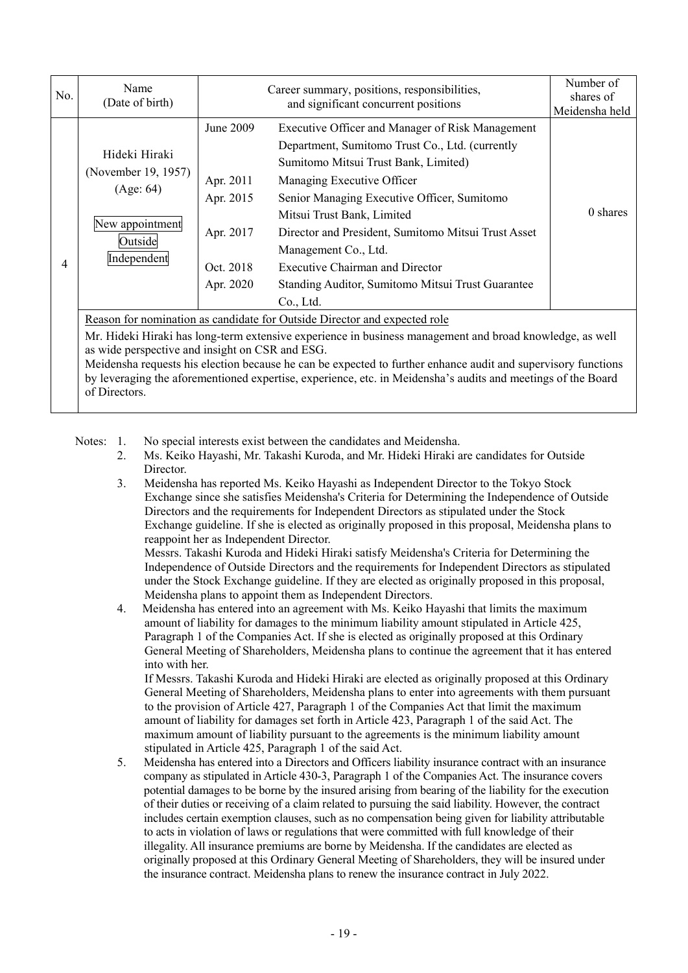| No. | Name<br>(Date of birth)                                                                                                                                                                                                                  |                                                                            | Number of<br>shares of<br>Meidensha held                                                                                                                                                                                                                                                                                                                                                                                                   |          |  |  |
|-----|------------------------------------------------------------------------------------------------------------------------------------------------------------------------------------------------------------------------------------------|----------------------------------------------------------------------------|--------------------------------------------------------------------------------------------------------------------------------------------------------------------------------------------------------------------------------------------------------------------------------------------------------------------------------------------------------------------------------------------------------------------------------------------|----------|--|--|
| 4   | Hideki Hiraki<br>(November 19, 1957)<br>(Age: 64)<br>New appointment<br>Outside<br>Independent                                                                                                                                           | June 2009<br>Apr. 2011<br>Apr. 2015<br>Apr. 2017<br>Oct. 2018<br>Apr. 2020 | Executive Officer and Manager of Risk Management<br>Department, Sumitomo Trust Co., Ltd. (currently<br>Sumitomo Mitsui Trust Bank, Limited)<br>Managing Executive Officer<br>Senior Managing Executive Officer, Sumitomo<br>Mitsui Trust Bank, Limited<br>Director and President, Sumitomo Mitsui Trust Asset<br>Management Co., Ltd.<br>Executive Chairman and Director<br>Standing Auditor, Sumitomo Mitsui Trust Guarantee<br>Co., Ltd. | 0 shares |  |  |
|     | Reason for nomination as candidate for Outside Director and expected role<br>Mr. Hideki Hiraki has long-term extensive experience in business management and broad knowledge, as well<br>as wide perspective and insight on CSR and ESG. |                                                                            |                                                                                                                                                                                                                                                                                                                                                                                                                                            |          |  |  |

Meidensha requests his election because he can be expected to further enhance audit and supervisory functions by leveraging the aforementioned expertise, experience, etc. in Meidensha's audits and meetings of the Board of Directors.

Notes: 1. No special interests exist between the candidates and Meidensha.

- 2. Ms. Keiko Hayashi, Mr. Takashi Kuroda, and Mr. Hideki Hiraki are candidates for Outside Director.
- 3. Meidensha has reported Ms. Keiko Hayashi as Independent Director to the Tokyo Stock Exchange since she satisfies Meidensha's Criteria for Determining the Independence of Outside Directors and the requirements for Independent Directors as stipulated under the Stock Exchange guideline. If she is elected as originally proposed in this proposal, Meidensha plans to reappoint her as Independent Director.

 Messrs. Takashi Kuroda and Hideki Hiraki satisfy Meidensha's Criteria for Determining the Independence of Outside Directors and the requirements for Independent Directors as stipulated under the Stock Exchange guideline. If they are elected as originally proposed in this proposal, Meidensha plans to appoint them as Independent Directors.

 4. Meidensha has entered into an agreement with Ms. Keiko Hayashi that limits the maximum amount of liability for damages to the minimum liability amount stipulated in Article 425, Paragraph 1 of the Companies Act. If she is elected as originally proposed at this Ordinary General Meeting of Shareholders, Meidensha plans to continue the agreement that it has entered into with her.

If Messrs. Takashi Kuroda and Hideki Hiraki are elected as originally proposed at this Ordinary General Meeting of Shareholders, Meidensha plans to enter into agreements with them pursuant to the provision of Article 427, Paragraph 1 of the Companies Act that limit the maximum amount of liability for damages set forth in Article 423, Paragraph 1 of the said Act. The maximum amount of liability pursuant to the agreements is the minimum liability amount stipulated in Article 425, Paragraph 1 of the said Act.

 5. Meidensha has entered into a Directors and Officers liability insurance contract with an insurance company as stipulated in Article 430-3, Paragraph 1 of the Companies Act. The insurance covers potential damages to be borne by the insured arising from bearing of the liability for the execution of their duties or receiving of a claim related to pursuing the said liability. However, the contract includes certain exemption clauses, such as no compensation being given for liability attributable to acts in violation of laws or regulations that were committed with full knowledge of their illegality. All insurance premiums are borne by Meidensha. If the candidates are elected as originally proposed at this Ordinary General Meeting of Shareholders, they will be insured under the insurance contract. Meidensha plans to renew the insurance contract in July 2022.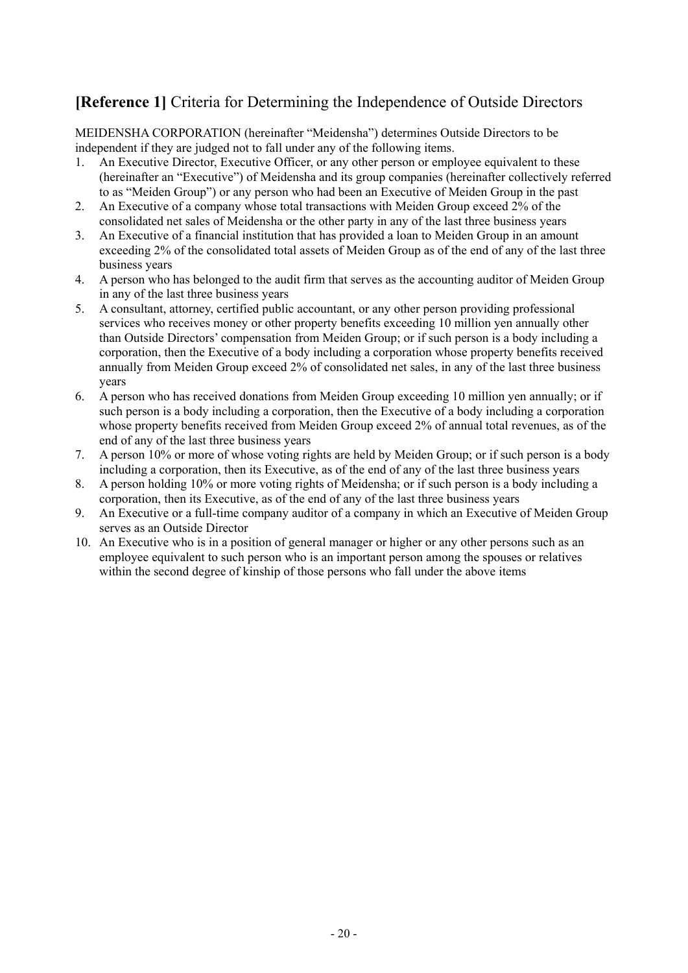# **[Reference 1]** Criteria for Determining the Independence of Outside Directors

MEIDENSHA CORPORATION (hereinafter "Meidensha") determines Outside Directors to be independent if they are judged not to fall under any of the following items.

- 1. An Executive Director, Executive Officer, or any other person or employee equivalent to these (hereinafter an "Executive") of Meidensha and its group companies (hereinafter collectively referred to as "Meiden Group") or any person who had been an Executive of Meiden Group in the past
- 2. An Executive of a company whose total transactions with Meiden Group exceed 2% of the consolidated net sales of Meidensha or the other party in any of the last three business years
- 3. An Executive of a financial institution that has provided a loan to Meiden Group in an amount exceeding 2% of the consolidated total assets of Meiden Group as of the end of any of the last three business years
- 4. A person who has belonged to the audit firm that serves as the accounting auditor of Meiden Group in any of the last three business years
- 5. A consultant, attorney, certified public accountant, or any other person providing professional services who receives money or other property benefits exceeding 10 million yen annually other than Outside Directors' compensation from Meiden Group; or if such person is a body including a corporation, then the Executive of a body including a corporation whose property benefits received annually from Meiden Group exceed 2% of consolidated net sales, in any of the last three business years
- 6. A person who has received donations from Meiden Group exceeding 10 million yen annually; or if such person is a body including a corporation, then the Executive of a body including a corporation whose property benefits received from Meiden Group exceed 2% of annual total revenues, as of the end of any of the last three business years
- 7. A person 10% or more of whose voting rights are held by Meiden Group; or if such person is a body including a corporation, then its Executive, as of the end of any of the last three business years
- 8. A person holding 10% or more voting rights of Meidensha; or if such person is a body including a corporation, then its Executive, as of the end of any of the last three business years
- 9. An Executive or a full-time company auditor of a company in which an Executive of Meiden Group serves as an Outside Director
- 10. An Executive who is in a position of general manager or higher or any other persons such as an employee equivalent to such person who is an important person among the spouses or relatives within the second degree of kinship of those persons who fall under the above items